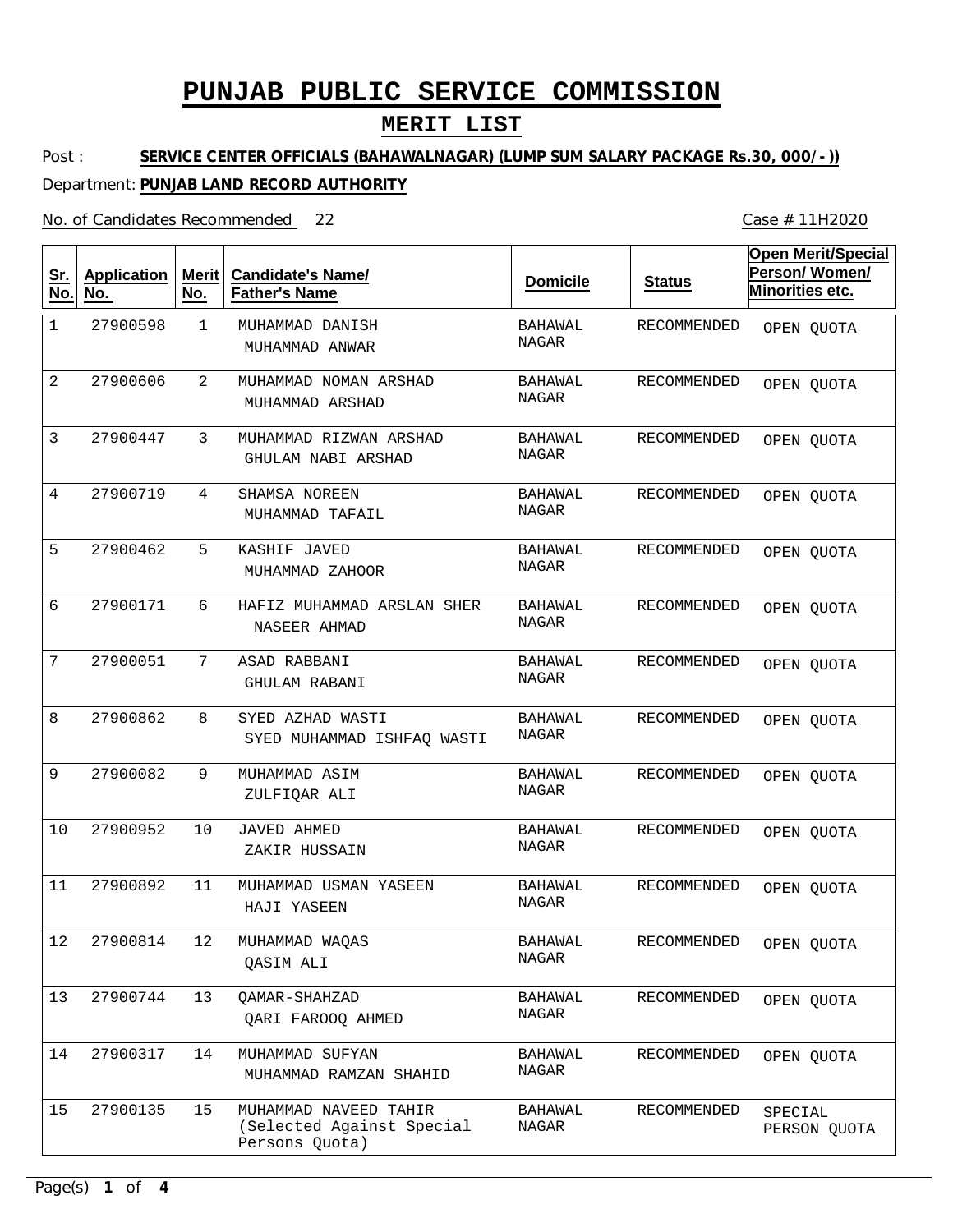## **MERIT LIST**

Post : **SERVICE CENTER OFFICIALS (BAHAWALNAGAR) (LUMP SUM SALARY PACKAGE Rs.30, 000/-))**

### Department: **PUNJAB LAND RECORD AUTHORITY**

No. of Candidates Recommended

| <u>Sr.</u><br>No. | <b>Application</b><br>No. | Merit<br>No. | <b>Candidate's Name/</b><br><b>Father's Name</b>                     | <b>Domicile</b>  | <b>Status</b>      | <b>Open Merit/Special</b><br>Person/Women/<br>Minorities etc. |
|-------------------|---------------------------|--------------|----------------------------------------------------------------------|------------------|--------------------|---------------------------------------------------------------|
| 1                 | 27900598                  | $\mathbf 1$  | MUHAMMAD DANISH<br>MUHAMMAD ANWAR                                    | BAHAWAL<br>NAGAR | <b>RECOMMENDED</b> | OPEN QUOTA                                                    |
| 2                 | 27900606                  | 2            | MUHAMMAD NOMAN ARSHAD<br>MUHAMMAD ARSHAD                             | BAHAWAL<br>NAGAR | RECOMMENDED        | OPEN QUOTA                                                    |
| 3                 | 27900447                  | 3            | MUHAMMAD RIZWAN ARSHAD<br>GHULAM NABI ARSHAD                         | BAHAWAL<br>NAGAR | <b>RECOMMENDED</b> | OPEN QUOTA                                                    |
| 4                 | 27900719                  | 4            | SHAMSA NOREEN<br>MUHAMMAD TAFAIL                                     | BAHAWAL<br>NAGAR | RECOMMENDED        | OPEN QUOTA                                                    |
| 5                 | 27900462                  | 5            | KASHIF JAVED<br>MUHAMMAD ZAHOOR                                      | BAHAWAL<br>NAGAR | <b>RECOMMENDED</b> | OPEN QUOTA                                                    |
| 6                 | 27900171                  | 6            | HAFIZ MUHAMMAD ARSLAN SHER<br>NASEER AHMAD                           | BAHAWAL<br>NAGAR | <b>RECOMMENDED</b> | OPEN QUOTA                                                    |
| 7                 | 27900051                  | 7            | ASAD RABBANI<br><b>GHULAM RABANI</b>                                 | BAHAWAL<br>NAGAR | RECOMMENDED        | OPEN QUOTA                                                    |
| 8                 | 27900862                  | 8            | SYED AZHAD WASTI<br>SYED MUHAMMAD ISHFAQ WASTI                       | BAHAWAL<br>NAGAR | RECOMMENDED        | OPEN QUOTA                                                    |
| 9                 | 27900082                  | 9            | MUHAMMAD ASIM<br>ZULFIQAR ALI                                        | BAHAWAL<br>NAGAR | RECOMMENDED        | OPEN QUOTA                                                    |
| 10                | 27900952                  | 10           | JAVED AHMED<br>ZAKIR HUSSAIN                                         | BAHAWAL<br>NAGAR | RECOMMENDED        | OPEN QUOTA                                                    |
| 11                | 27900892                  | 11           | MUHAMMAD USMAN YASEEN<br>HAJI YASEEN                                 | BAHAWAL<br>NAGAR | RECOMMENDED        | OPEN QUOTA                                                    |
| 12                | 27900814                  | 12           | MUHAMMAD WAQAS<br><b>OASIM ALI</b>                                   | BAHAWAL<br>NAGAR | RECOMMENDED        | OPEN QUOTA                                                    |
| 13                | 27900744                  | 13           | QAMAR-SHAHZAD<br>QARI FAROOQ AHMED                                   | BAHAWAL<br>NAGAR | RECOMMENDED        | OPEN QUOTA                                                    |
| 14                | 27900317                  | 14           | MUHAMMAD SUFYAN<br>MUHAMMAD RAMZAN SHAHID                            | BAHAWAL<br>NAGAR | RECOMMENDED        | OPEN QUOTA                                                    |
| 15                | 27900135                  | 15           | MUHAMMAD NAVEED TAHIR<br>(Selected Against Special<br>Persons Quota) | BAHAWAL<br>NAGAR | <b>RECOMMENDED</b> | SPECIAL<br>PERSON QUOTA                                       |

Case # 11H2020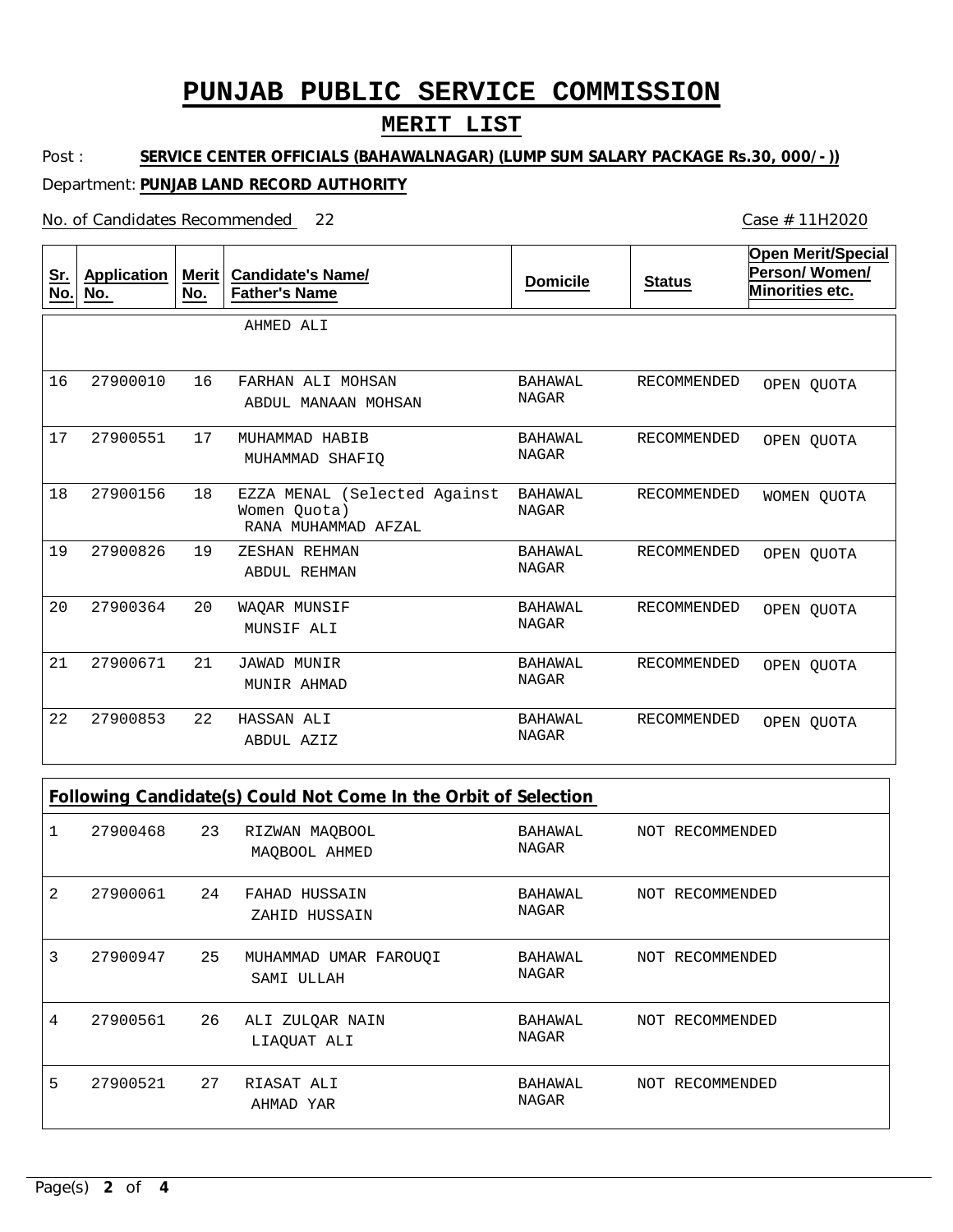## **MERIT LIST**

Post : **SERVICE CENTER OFFICIALS (BAHAWALNAGAR) (LUMP SUM SALARY PACKAGE Rs.30, 000/-))**

### Department: **PUNJAB LAND RECORD AUTHORITY**

No. of Candidates Recommended

| <u>Sr.</u><br>No. | <b>Application</b><br><u>No.</u> | <b>Merit</b><br><u>No.</u> | <b>Candidate's Name/</b><br><b>Father's Name</b>                    | <b>Domicile</b>                | <b>Status</b>      | <b>Open Merit/Special</b><br>Person/Women/<br>Minorities etc. |
|-------------------|----------------------------------|----------------------------|---------------------------------------------------------------------|--------------------------------|--------------------|---------------------------------------------------------------|
|                   |                                  |                            | AHMED ALI                                                           |                                |                    |                                                               |
| 16                | 27900010                         | 16                         | FARHAN ALI MOHSAN<br>ABDUL MANAAN MOHSAN                            | BAHAWAL<br>NAGAR               | RECOMMENDED        | OPEN QUOTA                                                    |
| 17                | 27900551                         | 17                         | MUHAMMAD HABIB<br>MUHAMMAD SHAFIO                                   | <b>BAHAWAL</b><br><b>NAGAR</b> | <b>RECOMMENDED</b> | OPEN OUOTA                                                    |
| 18                | 27900156                         | 18                         | EZZA MENAL (Selected Against<br>Women Ouota)<br>RANA MUHAMMAD AFZAL | <b>BAHAWAL</b><br><b>NAGAR</b> | <b>RECOMMENDED</b> | WOMEN OUOTA                                                   |
| 19                | 27900826                         | 19                         | ZESHAN REHMAN<br><b>ABDUL REHMAN</b>                                | BAHAWAL<br><b>NAGAR</b>        | <b>RECOMMENDED</b> | OPEN OUOTA                                                    |
| 20                | 27900364                         | 20                         | WAQAR MUNSIF<br>MUNSIF ALI                                          | <b>BAHAWAL</b><br><b>NAGAR</b> | <b>RECOMMENDED</b> | OPEN QUOTA                                                    |
| 21                | 27900671                         | 21                         | <b>JAWAD MUNIR</b><br>MUNIR AHMAD                                   | <b>BAHAWAL</b><br><b>NAGAR</b> | <b>RECOMMENDED</b> | OPEN OUOTA                                                    |
| 22                | 27900853                         | 22                         | HASSAN ALI<br>ABDUL AZIZ                                            | <b>BAHAWAL</b><br><b>NAGAR</b> | <b>RECOMMENDED</b> | OPEN QUOTA                                                    |

| Following Candidate(s) Could Not Come In the Orbit of Selection |          |    |                                     |                         |  |                 |
|-----------------------------------------------------------------|----------|----|-------------------------------------|-------------------------|--|-----------------|
|                                                                 | 27900468 | 23 | RIZWAN MAQBOOL<br>MAOBOOL AHMED     | BAHAWAL<br><b>NAGAR</b> |  | NOT RECOMMENDED |
| 2                                                               | 27900061 | 24 | FAHAD HUSSAIN<br>ZAHID HUSSAIN      | BAHAWAL<br>NAGAR        |  | NOT RECOMMENDED |
| 3                                                               | 27900947 | 25 | MUHAMMAD UMAR FAROUOI<br>SAMI ULLAH | BAHAWAL<br>NAGAR        |  | NOT RECOMMENDED |
| 4                                                               | 27900561 | 26 | ALI ZULQAR NAIN<br>LIAQUAT ALI      | BAHAWAL<br>NAGAR        |  | NOT RECOMMENDED |
| 5                                                               | 27900521 | 27 | RIASAT ALI<br>AHMAD YAR             | BAHAWAL<br><b>NAGAR</b> |  | NOT RECOMMENDED |

Case # 11H2020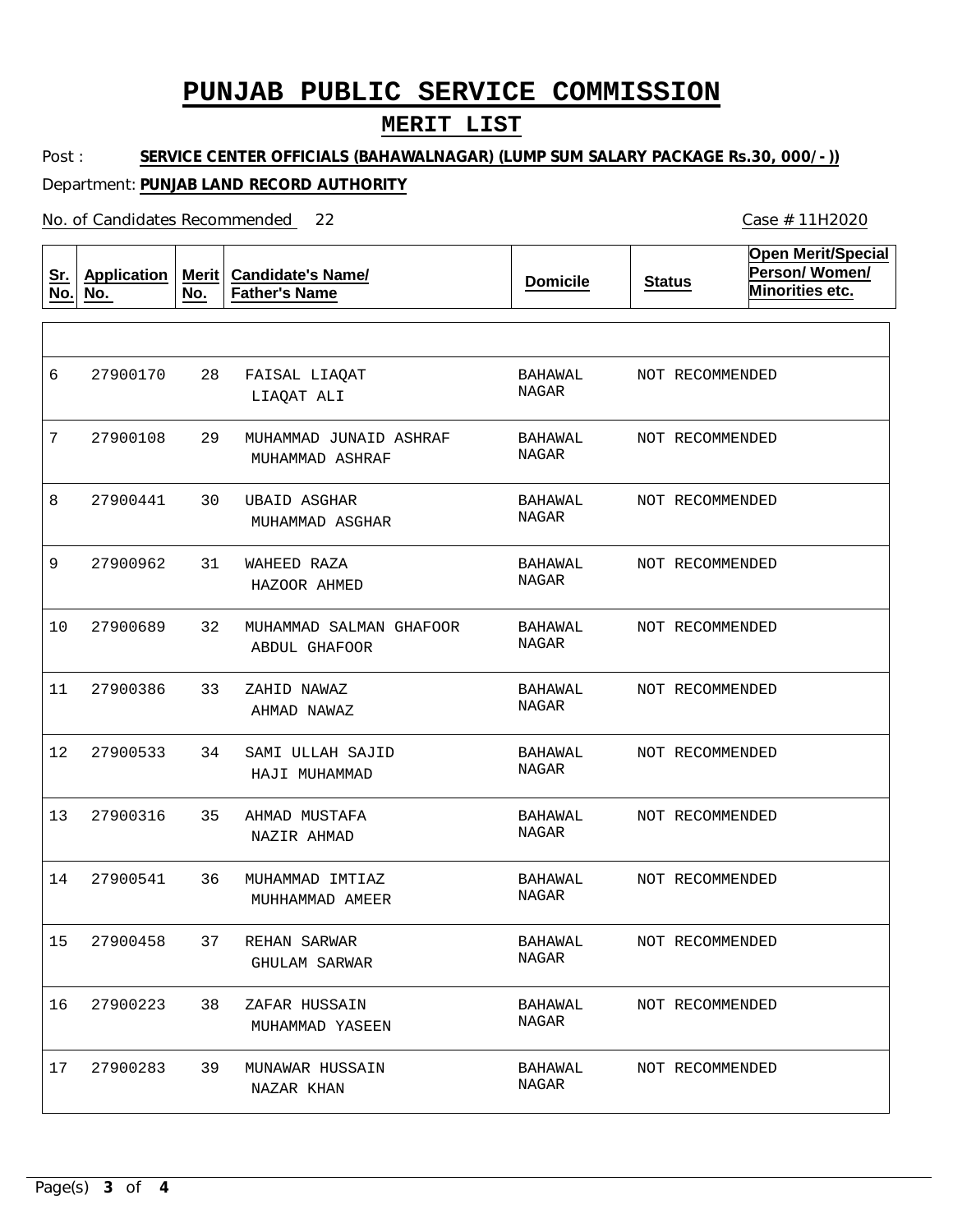## **MERIT LIST**

Post : **SERVICE CENTER OFFICIALS (BAHAWALNAGAR) (LUMP SUM SALARY PACKAGE Rs.30, 000/-))**

### Department: **PUNJAB LAND RECORD AUTHORITY**

No. of Candidates Recommended

| <u>Sr.</u><br>No. | <b>Application</b><br>No. | <b>Merit</b><br>No. | <b>Candidate's Name/</b><br><b>Father's Name</b> | <b>Domicile</b>                | <b>Status</b>   | <b>Open Merit/Special</b><br>Person/Women/<br>Minorities etc. |
|-------------------|---------------------------|---------------------|--------------------------------------------------|--------------------------------|-----------------|---------------------------------------------------------------|
|                   |                           |                     |                                                  |                                |                 |                                                               |
| 6                 | 27900170                  | 28                  | FAISAL LIAQAT<br>LIAQAT ALI                      | BAHAWAL<br><b>NAGAR</b>        | NOT RECOMMENDED |                                                               |
| 7                 | 27900108                  | 29                  | MUHAMMAD JUNAID ASHRAF<br>MUHAMMAD ASHRAF        | <b>BAHAWAL</b><br>NAGAR        | NOT RECOMMENDED |                                                               |
| 8                 | 27900441                  | 30                  | <b>UBAID ASGHAR</b><br>MUHAMMAD ASGHAR           | BAHAWAL<br><b>NAGAR</b>        | NOT RECOMMENDED |                                                               |
| 9                 | 27900962                  | 31                  | WAHEED RAZA<br>HAZOOR AHMED                      | BAHAWAL<br>NAGAR               | NOT RECOMMENDED |                                                               |
| 10                | 27900689                  | 32                  | MUHAMMAD SALMAN GHAFOOR<br><b>ABDUL GHAFOOR</b>  | BAHAWAL<br><b>NAGAR</b>        | NOT RECOMMENDED |                                                               |
| 11                | 27900386                  | 33                  | ZAHID NAWAZ<br>AHMAD NAWAZ                       | <b>BAHAWAL</b><br><b>NAGAR</b> | NOT RECOMMENDED |                                                               |
| 12                | 27900533                  | 34                  | SAMI ULLAH SAJID<br>HAJI MUHAMMAD                | BAHAWAL<br>NAGAR               | NOT RECOMMENDED |                                                               |
| 13                | 27900316                  | 35                  | AHMAD MUSTAFA<br>NAZIR AHMAD                     | BAHAWAL<br>NAGAR               | NOT RECOMMENDED |                                                               |
| 14                | 27900541                  | 36                  | MUHAMMAD IMTIAZ<br>MUHHAMMAD AMEER               | <b>BAHAWAL</b><br>NAGAR        | NOT RECOMMENDED |                                                               |
| 15                | 27900458                  | 37 -                | REHAN SARWAR<br><b>GHULAM SARWAR</b>             | BAHAWAL<br>NAGAR               | NOT RECOMMENDED |                                                               |
| 16                | 27900223                  | 38                  | ZAFAR HUSSAIN<br>MUHAMMAD YASEEN                 | BAHAWAL<br>NAGAR               | NOT RECOMMENDED |                                                               |
| 17                | 27900283                  | 39                  | MUNAWAR HUSSAIN<br>NAZAR KHAN                    | BAHAWAL<br>NAGAR               | NOT RECOMMENDED |                                                               |

Case # 11H2020